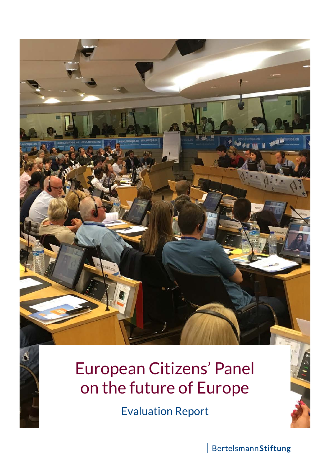

Evaluation Report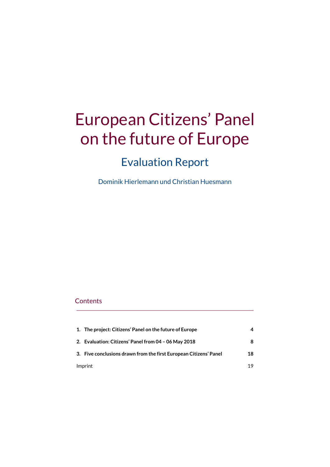# European Citizens' Panel on the future of Europe

# Evaluation Report

Dominik Hierlemann und Christian Huesmann

### **Contents**

| Imprint |                                                                   | 19 |
|---------|-------------------------------------------------------------------|----|
|         | 3. Five conclusions drawn from the first European Citizens' Panel | 18 |
|         | 2. Evaluation: Citizens' Panel from 04 - 06 May 2018              | 8  |
|         | 1. The project: Citizens' Panel on the future of Europe           | 4  |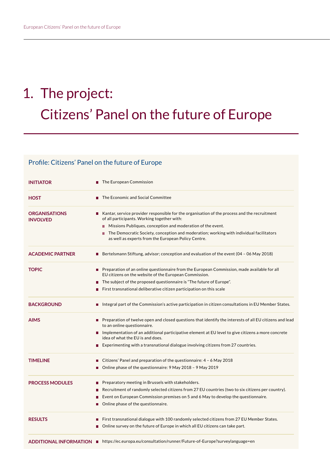# 1. The project: Citizens' Panel on the future of Europe

### Profile: Citizens' Panel on the future of Europe

| <b>INITIATOR</b>                        | $\blacksquare$ The European Commission                                                                                                                                    |
|-----------------------------------------|---------------------------------------------------------------------------------------------------------------------------------------------------------------------------|
| <b>HOST</b>                             | The Economic and Social Committee<br>ш                                                                                                                                    |
| <b>ORGANISATIONS</b><br><b>INVOLVED</b> | Kantar, service provider responsible for the organisation of the process and the recruitment<br>п<br>of all participants. Working together with:                          |
|                                         | Missions Publiques, conception and moderation of the event.                                                                                                               |
|                                         | The Democratic Society, conception and moderation; working with individual facilitators<br>П<br>as well as experts from the European Policy Centre.                       |
| <b>ACADEMIC PARTNER</b>                 | <b>B</b> Bertelsmann Stiftung, advisor; conception and evaluation of the event (04 – 06 May 2018)                                                                         |
| <b>TOPIC</b>                            | <b>Permission 1</b> Preparation of an online questionnaire from the European Commission, made available for all<br>EU citizens on the website of the European Commission. |
|                                         | ■ The subject of the proposed questionnaire is "The future of Europe".                                                                                                    |
|                                         | First transnational deliberative citizen participation on this scale                                                                                                      |
| <b>BACKGROUND</b>                       | Integral part of the Commission's active participation in citizen consultations in EU Member States.<br>$\Box$                                                            |
| <b>AIMS</b>                             | Preparation of twelve open and closed questions that identify the interests of all EU citizens and lead<br>to an online questionnaire.                                    |
|                                         | $\blacksquare$ Implementation of an additional participative element at EU level to give citizens a more concrete<br>idea of what the EU is and does.                     |
|                                         | Experimenting with a transnational dialogue involving citizens from 27 countries.                                                                                         |
| <b>TIMELINE</b>                         | Citizens' Panel and preparation of the questionnaire: $4 - 6$ May 2018                                                                                                    |
|                                         | Online phase of the questionnaire: 9 May 2018 - 9 May 2019<br>П                                                                                                           |
| <b>PROCESS MODULES</b>                  | Preparatory meeting in Brussels with stakeholders.<br>$\blacksquare$                                                                                                      |
|                                         | Recruitment of randomly selected citizens from 27 EU countries (two to six citizens per country).<br>$\mathcal{L}_{\mathcal{A}}$                                          |
|                                         | Event on European Commission premises on 5 and 6 May to develop the questionnaire.<br>п                                                                                   |
|                                         | Online phase of the questionnaire.<br>П                                                                                                                                   |
| <b>RESULTS</b>                          | First transnational dialogue with 100 randomly selected citizens from 27 EU Member States.<br>П                                                                           |
|                                         | Online survey on the future of Europe in which all EU citizens can take part.<br>П                                                                                        |
|                                         | ADDITIONAL INFORMATION   https://ec.europa.eu/consultation/runner/Future-of-Europe?surveylanguage=en                                                                      |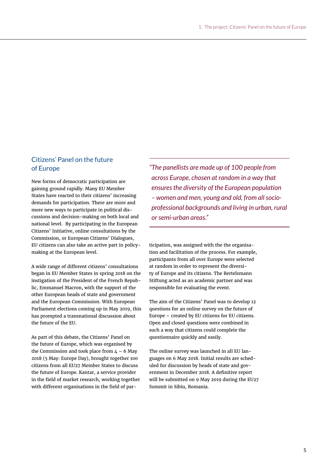### Citizens' Panel on the future of Europe

New forms of democratic participation are gaining ground rapidly. Many EU Member States have reacted to their citizens' increasing demands for participation. There are more and more new ways to participate in political discussions and decision-making on both local and national level. By participating in the European Citizens' Initiative, online consultations by the Commission, or European Citizens' Dialogues, EU citizens can also take an active part in policymaking at the European level.

A wide range of different citizens' consultations began in EU Member States in spring 2018 on the instigation of the President of the French Republic, Emmanuel Macron, with the support of the other European heads of state and government and the European Commission. With European Parliament elections coming up in May 2019, this has prompted a transnational discussion about the future of the EU.

As part of this debate, the Citizens' Panel on the future of Europe, which was organised by the Commission and took place from  $4 - 6$  May 2018 (5 May: Europe Day), brought together 100 citizens from all EU27 Member States to discuss the future of Europe. Kantar, a service provider in the field of market research, working together with different organisations in the field of par*"The panellists are made up of 100 people from across Europe, chosen at random in a way that ensures the diversity of the European population – women and men, young and old, from all socioprofessional backgrounds and living in urban, rural or semi-urban areas."*

ticipation, was assigned with the the organisation and facilitation of the process. For example, participants from all over Europe were selected at random in order to represent the diversity of Europe and its citizens. The Bertelsmann Stiftung acted as an academic partner and was responsible for evaluating the event.

The aim of the Citizens' Panel was to develop 12 questions for an online survey on the future of Europe – created by EU citizens for EU citizens. Open and closed questions were combined in such a way that citizens could complete the questionnaire quickly and easily.

The online survey was launched in all EU languages on 6 May 2018. Initial results are scheduled for discussion by heads of state and government in December 2018. A definitive report will be submitted on 9 May 2019 during the EU27 Summit in Sibiu, Romania.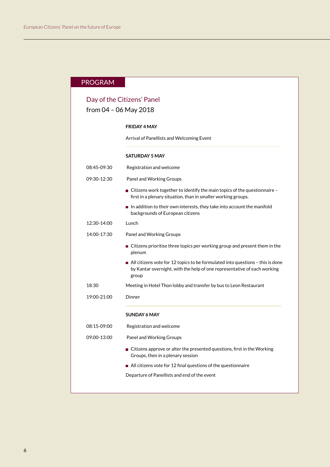### PROGRAM

### Day of the Citizens' Panel from 04 – 06 May 2018

## **FRIDAY 4 MAY** Arrival of Panellists and Welcoming Event **SATURDAY 5 MAY** 08:45-09:30 Registration and welcome 09:30-12:30 Panel and Working Groups Citizens work together to identify the main topics of the questionnaire – first in a plenary situation, than in smaller working groups.  $\blacksquare$  In addition to their own interests, they take into account the manifold backgrounds of European citizens 12:30-14:00 Lunch 14:00-17:30 Panel and Working Groups ■ Citizens prioritise three topics per working group and present them in the plenum All citizens vote for 12 topics to be formulated into questions – this is done by Kantar overnight, with the help of one representative of each working group 18:30 Meeting in Hotel Thon lobby and transfer by bus to Leon Restaurant 19:00-21:00 Dinner **SUNDAY 6 MAY** 08:15-09:00 Registration and welcome 09:00-13:00 Panel and Working Groups ■ Citizens approve or alter the presented questions, first in the Working Groups, then in a plenary session All citizens vote for 12 final questions of the questionnaire Departure of Panellists and end of the event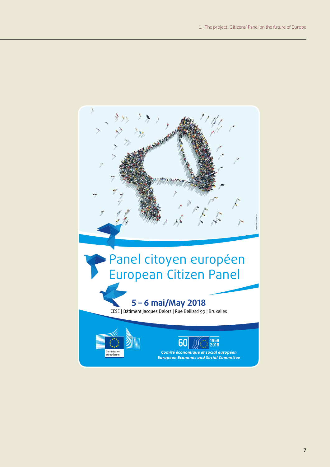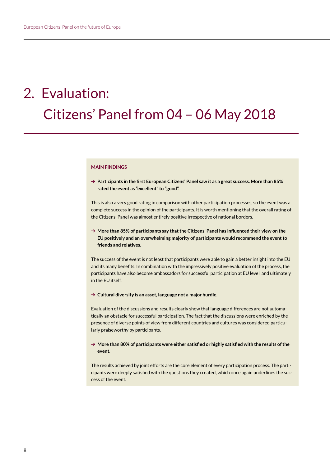# 2. Evaluation: Citizens' Panel from 04 – 06 May 2018

### **MAIN FINDINGS**

➔ **Participants in the first European Citizens' Panel saw it as a great success. More than 85% rated the event as "excellent" to "good".**

This is also a very good rating in comparison with other participation processes, so the event was a complete success in the opinion of the participants. It is worth mentioning that the overall rating of the Citizens' Panel was almost entirely positive irrespective of national borders.

➔ **More than 85% of participants say that the Citizens' Panel has influenced their view on the EU positively and an overwhelming majority of participants would recommend the event to friends and relatives.**

The success of the event is not least that participants were able to gain a better insight into the EU and its many benefits. In combination with the impressively positive evaluation of the process, the participants have also become ambassadors for successful participation at EU level, and ultimately in the EU itself.

➔ **Cultural diversity is an asset, language not a major hurdle.**

Evaluation of the discussions and results clearly show that language differences are not automatically an obstacle for successful participation. The fact that the discussions were enriched by the presence of diverse points of view from different countries and cultures was considered particularly praiseworthy by participants.

➔ **More than 80% of participants were either satisfied or highly satisfied with the results of the event.**

The results achieved by joint efforts are the core element of every participation process. The participants were deeply satisfied with the questions they created, which once again underlines the success of the event.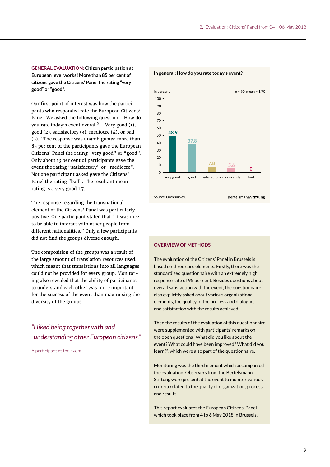**GENERAL EVALUATION: Citizen participation at European level works! More than 85 per cent of citizens gave the Citizens' Panel the rating "very good" or "good".** 

Our first point of interest was how the participants who responded rate the European Citizens' Panel. We asked the following question: "How do you rate today's event overall? – Very good (1), good (2), satisfactory (3), mediocre (4), or bad (5)." The response was unambiguous: more than 85 per cent of the participants gave the European Citizens' Panel the rating "very good" or "good". Only about 13 per cent of participants gave the event the rating "satisfactory" or "mediocre". Not one participant asked gave the Citizens' Panel the rating "bad". The resultant mean rating is a very good 1.7.

The response regarding the transnational element of the Citizens' Panel was particularly positive. One participant stated that "It was nice to be able to interact with other people from different nationalities." Only a few participants did not find the groups diverse enough.

The composition of the groups was a result of the large amount of translation resources used, which meant that translations into all languages could not be provided for every group. Monitoring also revealed that the ability of participants to understand each other was more important for the success of the event than maximising the diversity of the groups.

*"I liked being together with and understanding other European citizens."*

A participant at the event



### **In general: How do you rate today's event?**

### **OVERVIEW OF METHODS**

The evaluation of the Citizens' Panel in Brussels is based on three core elements. Firstly, there was the standardised questionnaire with an extremely high response rate of 95 per cent. Besides questions about overall satisfaction with the event, the questionnaire also explicitly asked about various organizational elements, the quality of the process and dialogue, and satisfaction with the results achieved.

Then the results of the evaluation of this questionnaire were supplemented with participants' remarks on the open questions "What did you like about the event? What could have been improved? What did you learn?", which were also part of the questionnaire.

Monitoring was the third element which accompanied the evaluation. Observers from the Bertelsmann Stiftung were present at the event to monitor various criteria related to the quality of organization, process and results.

This report evaluates the European Citizens' Panel which took place from 4 to 6 May 2018 in Brussels.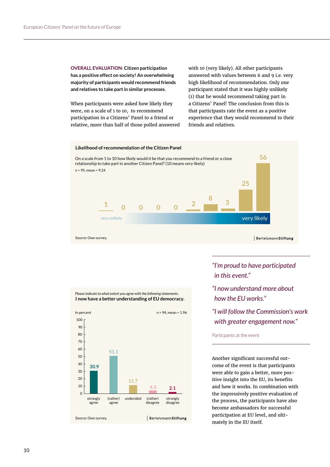**OVERALL EVALUATION: Citizen participation has a positive effect on society! An overwhelming majority of participants would recommend friends and relatives to take part in similar processes.** 

When participants were asked how likely they were, on a scale of 1 to 10, to recommend participation in a Citizens' Panel to a friend or relative, more than half of those polled answered with 10 (very likely). All other participants answered with values between 6 and 9 i.e. very high likelihood of recommendation. Only one participant stated that it was highly unlikely (1) that he would recommend taking part in a Citizens' Panel! The conclusion from this is that participants rate the event as a positive experience that they would recommend to their friends and relatives.





*"I'm proud to have participated in this event."* 

- *"I now understand more about how the EU works."*
- *"I will follow the Commission's work with greater engagement now."*

### Particpants at the event

Another significant successful outcome of the event is that participants were able to gain a better, more positive insight into the EU, its benefits and how it works. In combination with the impressively positive evaluation of the process, the participants have also become ambassadors for successful participation at EU level, and ultimately in the EU itself.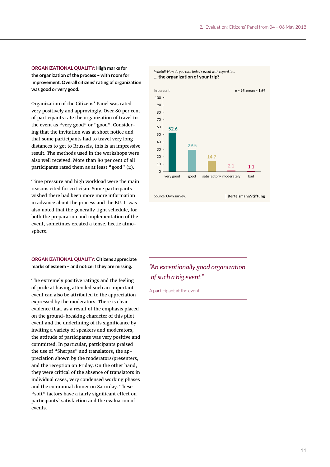**ORGANIZATIONAL QUALITY: High marks for the organization of the process – with room for improvement. Overall citizens' rating of organization was good or very good.** 

Organization of the Citizens' Panel was rated very positively and approvingly. Over 80 per cent of participants rate the organization of travel to the event as "very good" or "good". Considering that the invitation was at short notice and that some participants had to travel very long distances to get to Brussels, this is an impressive result. The methods used in the workshops were also well received. More than 80 per cent of all participants rated them as at least "good" (2).

Time pressure and high workload were the main reasons cited for criticism. Some participants wished there had been more more information in advance about the process and the EU. It was also noted that the generally tight schedule, for both the preparation and implementation of the event, sometimes created a tense, hectic atmosphere.

### **ORGANIZATIONAL QUALITY: Citizens appreciate marks of esteem – and notice if they are missing.**

The extremely positive ratings and the feeling of pride at having attended such an important event can also be attributed to the appreciation expressed by the moderators. There is clear evidence that, as a result of the emphasis placed on the ground-breaking character of this pilot event and the underlining of its significance by inviting a variety of speakers and moderators, the attitude of participants was very positive and committed. In particular, participants praised the use of "Sherpas" and translators, the appreciation shown by the moderators/presenters, and the reception on Friday. On the other hand, they were critical of the absence of translators in individual cases, very condensed working phases and the communal dinner on Saturday. These "soft" factors have a fairly significant effect on participants' satisfaction and the evaluation of events.



### *"An exceptionally good organization of such a big event."*

A participant at the event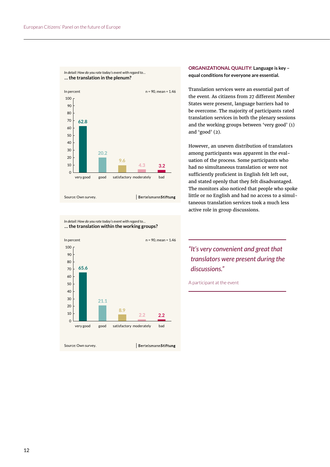

**… the translation within the working groups?** *In detail: How do you rate today's event with regard to…*



*In detail: How do you rate today's event with regard to…* **ORGANIZATIONAL QUALITY: Language is key – equal conditions for everyone are essential.**

> Translation services were an essential part of the event. As citizens from 27 different Member States were present, language barriers had to be overcome. The majority of participants rated translation services in both the plenary sessions and the working groups between 'very good' (1) and 'good' (2).

However, an uneven distribution of translators among participants was apparent in the evaluation of the process. Some participants who had no simultaneous translation or were not sufficiently proficient in English felt left out, and stated openly that they felt disadvantaged. The monitors also noticed that people who spoke little or no English and had no access to a simultaneous translation services took a much less active role in group discussions.

*"It's very convenient and great that translators were present during the discussions."* 

A participant at the event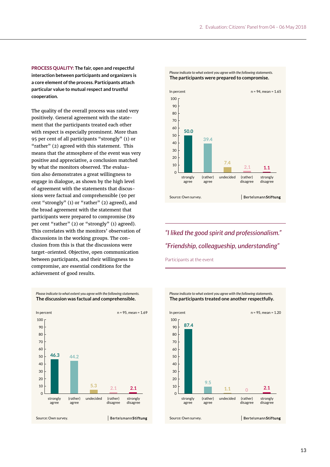**PROCESS QUALITY: The fair, open and respectful interaction between participants and organizers is a core element of the process. Participants attach particular value to mutual respect and trustful cooperation.** 

The quality of the overall process was rated very positively. General agreement with the statement that the participants treated each other with respect is especially prominent. More than 95 per cent of all participants "strongly" (1) or "rather" (2) agreed with this statement. This means that the atmosphere of the event was very positive and appreciative, a conclusion matched by what the monitors observed. The evaluation also demonstrates a great willingness to engage in dialogue, as shown by the high level of agreement with the statements that discussions were factual and comprehensible (90 per cent "strongly" (1) or "rather" (2) agreed), and the broad agreement with the statement that participants were prepared to compromise (89 per cent "rather" (2) or "strongly" (1) agreed). This correlates with the monitors' observation of discussions in the working groups. The conclusion from this is that the discussions were target-oriented. Objective, open communication between participants, and their willingness to compromise, are essential conditions for the achievement of good results.



### **The discussion was factual and comprehensible.** *Please indicate to what extent you agree with the following statements.*



### **The participants were prepared to compromise.** *Please indicate to what extent you agree with the following statements.*

## *"I liked the good spirit and professionalism." "Friendship, colleagueship, understanding"*

Participants at the event

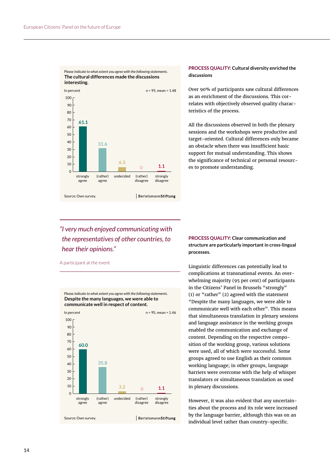

### **PROCESS QUALITY: Cultural diversity enriched the discussions**

Over 90% of participants saw cultural differences as an enrichment of the discussions. This correlates with objectively observed quality characteristics of the process.

All the discussions observed in both the plenary sessions and the workshops were productive and target-oriented. Cultural differences only became an obstacle when there was insufficient basic support for mutual understanding. This shows the significance of technical or personal resources to promote understanding.

## *"I very much enjoyed communicating with the representatives of other countries, to hear their opinions."*

A participant at the event



**PROCESS QUALITY: Clear communication and structure are particularly important in cross-lingual processes.** 

Linguistic differences can potentially lead to complications at transnational events. An overwhelming majority (95 per cent) of participants in the Citizens' Panel in Brussels "strongly" (1) or "rather" (2) agreed with the statement "Despite the many languages, we were able to communicate well with each other". This means that simultaneous translation in plenary sessions and language assistance in the working groups enabled the communication and exchange of content. Depending on the respective composition of the working group, various solutions were used, all of which were successful. Some groups agreed to use English as their common working language; in other groups, language barriers were overcome with the help of whisper translators or simultaneous translation as used in plenary discussions.

However, it was also evident that any uncertainties about the process and its role were increased by the language barrier, although this was on an individual level rather than country-specific.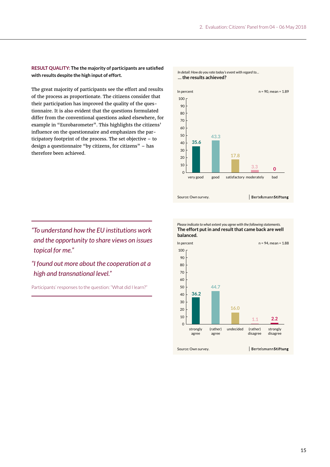**RESULT QUALITY: The the majority of participants are satisfied with results despite the high input of effort.**

The great majority of participants see the effort and results of the process as proportionate. The citizens consider that their participation has improved the quality of the questionnaire. It is also evident that the questions formulated differ from the conventional questions asked elsewhere, for example in "Eurobarometer". This highlights the citizens' influence on the questionnaire and emphasizes the participatory footprint of the process. The set objective – to design a questionnaire "by citizens, for citizens" – has therefore been achieved.

*"To understand how the EU institutions work and the opportunity to share views on issues topical for me."* 

## *"I found out more about the cooperation at a high and transnational level."*

Participants' responses to the question: "What did I learn?"

*In detail: How do you rate today's event with regard to…* **… the results achieved?** In percent  $n = 90$ , mean =  $1.89$ 100 90 80 70 60 50 **43.3 35.6** 40 30 **17.8** 20 10 **<sup>0</sup> 3.3**  $\overline{0}$ very good good satisfactory moderately bad BertelsmannStiftung Source: Own survey.



**The effort put in and result that came back are well**  *Please indicate to what extent you agree with the following statements.*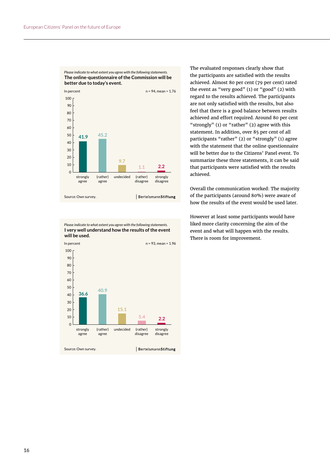

**The online-questionnaire of the Commission will be better due to today's event.** *Please indicate to what extent you agree with the following statements.*

**I very well understand how the results of the event will be used.** *Please indicate to what extent you agree with the following statements.*



The evaluated responses clearly show that the participants are satisfied with the results achieved. Almost 80 per cent (79 per cent) rated the event as "very good" (1) or "good" (2) with regard to the results achieved. The participants are not only satisfied with the results, but also feel that there is a good balance between results achieved and effort required. Around 80 per cent "strongly" (1) or "rather" (2) agree with this statement. In addition, over 85 per cent of all participants "rather" (2) or "strongly" (1) agree with the statement that the online questionnaire will be better due to the Citizens' Panel event. To summarize these three statements, it can be said that participants were satisfied with the results achieved.

Overall the communication worked: The majority of the participants (around 80%) were aware of how the results of the event would be used later.

However at least some participants would have liked more clarity concerning the aim of the event and what will happen with the results. There is room for improvement.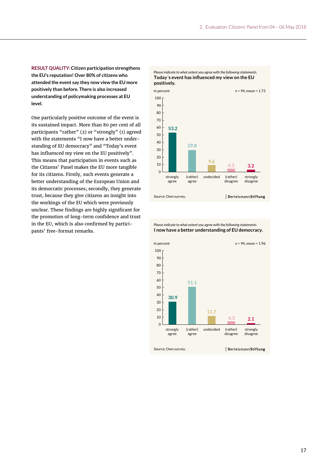**RESULT QUALITY: Citizen participation strengthens the EU's reputation! Over 80% of citizens who attended the event say they now view the EU more positively than before. There is also increased understanding of policymaking processes at EU level.**

One particularly positive outcome of the event is its sustained impact. More than 80 per cent of all participants "rather" (2) or "strongly" (1) agreed with the statements "I now have a better understanding of EU democracy" and "Today's event has influenced my view on the EU positively". This means that participation in events such as the Citizens' Panel makes the EU more tangible for its citizens. Firstly, such events generate a better understanding of the European Union and its democratic processes; secondly, they generate trust, because they give citizens an insight into the workings of the EU which were previously unclear. These findings are highly significant for the promotion of long-term confidence and trust in the EU, which is also confirmed by participants' free-format remarks.



**I now have a better understanding of EU democracy.** *Please indicate to what extent you agree with the following statements.*

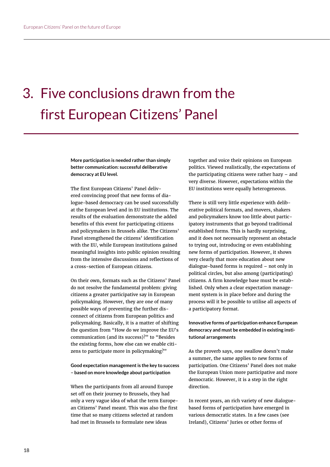# 3. Five conclusions drawn from the first European Citizens' Panel

**More participation is needed rather than simply better communication: successful deliberative democracy at EU level.**

The first European Citizens' Panel delivered convincing proof that new forms of dialogue-based democracy can be used successfully at the European level and in EU institutions. The results of the evaluation demonstrate the added benefits of this event for participating citizens and policymakers in Brussels alike. The Citizens' Panel strengthened the citizens' identification with the EU, while European institutions gained meaningful insights into public opinion resulting from the intensive discussions and reflections of a cross-section of European citizens.

On their own, formats such as the Citizens' Panel do not resolve the fundamental problem: giving citizens a greater participative say in European policymaking. However, they are one of many possible ways of preventing the further disconnect of citizens from European politics and policymaking. Basically, it is a matter of shifting the question from "How do we improve the EU's communication (and its success)?" to "Besides the existing forms, how else can we enable citizens to participate more in policymaking?"

**Good expectation management is the key to success – based on more knowledge about participation** 

When the participants from all around Europe set off on their journey to Brussels, they had only a very vague idea of what the term European Citizens' Panel meant. This was also the first time that so many citizens selected at random had met in Brussels to formulate new ideas

together and voice their opinions on European politics. Viewed realistically, the expectations of the participating citizens were rather hazy – and very diverse. However, expectations within the EU institutions were equally heterogeneous.

There is still very little experience with deliberative political formats, and movers, shakers and policymakers know too little about participatory instruments that go beyond traditional established forms. This is hardly surprising, and it does not necessarily represent an obstacle to trying out, introducing or even establishing new forms of participation. However, it shows very clearly that more education about new dialogue-based forms is required – not only in political circles, but also among (participating) citizens. A firm knowledge base must be established. Only when a clear expectation management system is in place before and during the process will it be possible to utilise all aspects of a participatory format.

**Innovative forms of participation enhance European democracy and must be embedded in existing institutional arrangements**

As the proverb says, one swallow doesn't make a summer, the same applies to new forms of participation. One Citizens' Panel does not make the European Union more participative and more democratic. However, it is a step in the right direction.

In recent years, an rich variety of new dialoguebased forms of participation have emerged in various democratic states. In a few cases (see Ireland), Citizens' Juries or other forms of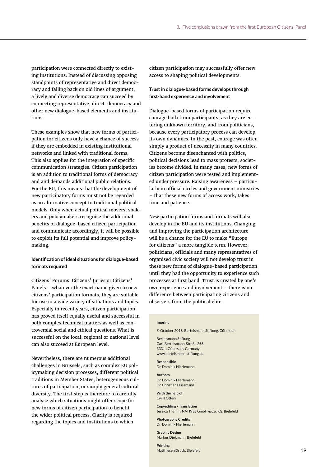participation were connected directly to existing institutions. Instead of discussing opposing standpoints of representative and direct democracy and falling back on old lines of argument, a lively and diverse democracy can succeed by connecting representative, direct-democracy and other new dialogue-based elements and institutions.

These examples show that new forms of participation for citizens only have a chance of success if they are embedded in existing institutional networks and linked with traditional forms. This also applies for the integration of specific communication strategies. Citizen participation is an addition to traditional forms of democracy and and demands additional public relations. For the EU, this means that the development of new participatory forms must not be regarded as an alternative concept to traditional political models. Only when actual political movers, shakers and policymakers recognise the additional benefits of dialogue-based citizen participation and communicate accordingly, it will be possible to exploit its full potential and improve policymaking.

### **Identification of ideal situations for dialogue-based formats required**

Citizens' Forums, Citizens' Juries or Citizens' Panels – whatever the exact name given to new citizens' participation formats, they are suitable for use in a wide variety of situations and topics. Especially in recent years, citizen participation has proved itself equally useful and successful in both complex technical matters as well as controversial social and ethical questions. What is successful on the local, regional or national level can also succeed at European level.

Nevertheless, there are numerous additional challenges in Brussels, such as complex EU policymaking decision processes, different political traditions in Member States, heterogeneous cultures of participation, or simply general cultural diversity. The first step is therefore to carefully analyse which situations might offer scope for new forms of citizen participation to benefit the wider political process. Clarity is required regarding the topics and institutions to which

citizen participation may successfully offer new access to shaping political developments.

### **Trust in dialogue-based forms develops through first-hand experience and involvement**

Dialogue-based forms of participation require courage both from participants, as they are entering unknown territory, and from politicians, because every participatory process can develop its own dynamics. In the past, courage was often simply a product of necessity in many countries. Citizens become disenchanted with politics, political decisions lead to mass protests, societies become divided. In many cases, new forms of citizen participation were tested and implemented under pressure. Raising awareness – particularly in official circles and government ministries – that these new forms of access work, takes time and patience.

New participation forms and formats will also develop in the EU and its institutions. Changing and improving the participation architecture will be a chance for the EU to make "Europe for citizens" a more tangible term. However, politicians, officials and many representatives of organised civic society will not develop trust in these new forms of dialogue-based participation until they had the opportunity to experience such processes at first hand. Trust is created by one's own experience and involvement – there is no difference between participating citizens and observers from the political elite.

### **Imprint**

© October 2018, Bertelsmann Stiftung, Gütersloh

Bertelsmann Stiftung Carl-Bertelsmann-Straße 256 33311 Gütersloh, Germany www.bertelsmann-stiftung.de

**Responsible** Dr. Dominik Hierlemann

### **Authors**

Dr. Dominik Hierlemann Dr. Christian Huesmann

**With the help of** Cyrill Otteni

**Copyediting / Translation** Jessica Thamm, NATIVES GmbH & Co. KG, Bielefeld

**Photography Credits** Dr. Dominik Hierlemann

**Graphic Design** Markus Diekmann, Bielefeld

**Printing** Matthiesen Druck, Bielefeld